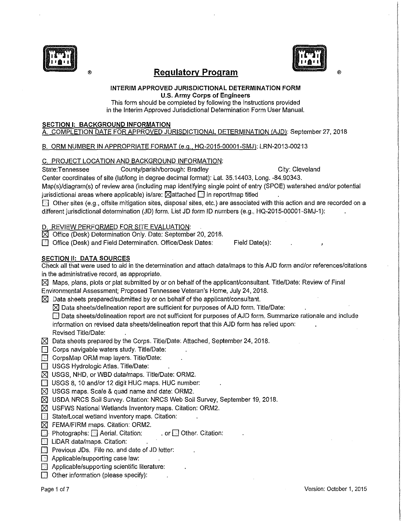

# ® **Regulatory Program**

#### **INTERIM APPROVED JURISDICTIONAL DETERMINATION FORM U.S. Army Corps of Engineers**

This form should be completed by following the instructions provided in the Interim Approved Jurisdictional Determination Form User Manual.

#### **SECTION I: BACKGROUND INFORMATION**

#### A. COMPLETION DATE FOR APPROVED JURISDICTIONAL DETERMINATION (AJDl: September27, 2018

#### B. ORM NUMBER IN APPROPRIATE FORMAT (e.g., HQ-2015-00001-SMJ): LRN-2013-00213

#### C. PROJECT LOCATION AND BACKGROUND INFORMATION:

State:Tennessee County/parish/borough: Bradley City: Cleveland

Center coordinates of site (lat/long in degree decimal format): Lat. 35.14403, Long. -84.90343.

Map(s)/diagram(s) of review area (including map identifying single point of entry (SPOE) watershed and/or potential jurisdictional areas where applicable) is/are:  $\boxtimes$  attached  $\Box$  in report/map titled

0 Other sites (e.g., offsite mitigation sites, disposal sites, etc.) are associated with this action and are recorded on a different jurisdictional determination (JD) form. List JD form ID numbers (e.g., HQ-2015-00001-SMJ-1):

#### D. REVIEW PERFORMED FOR SITE EVALUATION:

- IZ] Office (Desk) Determination Only. Date: September 20, 2018.
- [] Office (Desk) and Field Determination. Office/Desk Dates: Field Date(s):

#### **SECTION II: DATA SOURCES**

Check all that were used to aid in the determination and attach data/maps to this AJD form and/or references/citations in the administrative record, as appropriate.

 $\boxtimes$  Maps, plans, plots or plat submitted by or on behalf of the applicant/consultant. Title/Date: Review of Final Environmental Assessment; Proposed Tennessee Veteran's Home, July 24, 2018.

 $\boxtimes$  Data sheets prepared/submitted by or on behalf of the applicant/consultant.

 $\boxtimes$  Data sheets/delineation report are sufficient for purposes of AJD form. Title/Date:

0 Data sheets/delineation report are not sufficient for purposes of AJD form. Summarize rationale and include information on revised data sheets/delineation report that this AJD form has relied upon: Revised Title/Date:

 $[\times]$  Data sheets prepared by the Corps. Title/Date: Attached, September 24, 2018.

- **<sup>8</sup>** Corps navigable waters study. Title/Date:
- **ED** CorpsMap ORM map layers. Title/Date:
- **DE USGS Hydrologic Atlas. Title/Date:**
- $\boxtimes$  USGS, NHD, or WBD data/maps. Title/Date: ORM2.
- **D** USGS 8, 10 and/or 12 digit HUC maps. HUC number:
- $\boxtimes$  USGS maps. Scale & quad name and date: ORM2.
- IZJ USDA NRCS Soil Survey. Citation: NRCS Web Soil Survey, September 19, 2018.
- $\boxtimes$  USFWS National Wetlands Inventory maps. Citation: ORM2.
- $\boxed{2}$  State/Local wetland inventory maps. Citation:
- $\boxtimes$  FEMA/FIRM maps. Citation: ORM2.
- **8** Photographs: **8 Aerial. Citation:** . or **8 Other. Citation:**
- **E. LiDAR data/maps. Citation:**
- **1** Previous JDs. File no. and date of JD letter:
- **E** Applicable/supporting case law:
- $\Box$  Applicable/supporting scientific literature:
- $\Box$  Other information (please specify):



®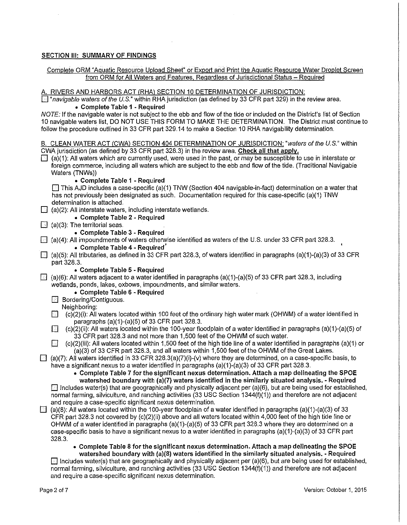#### SECTION III: SUMMARY OF FINDINGS

#### Complete ORM "Aquatic Resource Upload Sheet" or Export and Print the Aquatic Resource Water Droplet Screen from ORM for All Waters and Features, Regardless of Jurisdictional Status - Required

A.\_RIVERS AND HARBORS ACT (RHA) SECTION 10 DETERMINATION OF JURISDICTION:<br>⊡ \**navigable waters of the U.S."* within RHA jurisdiction (as defined by 33 CFR part 329) in the review area*.* 

• Complete Table 1 - Required

NOTE: If the navigable water is not subject to the ebb and flow of the tide or included on the District's list of Section 10 navigable waters list, DO NOT USE THIS FORM TO MAKE THE DETERMINATION. The District must continue to follow the procedure outlined in 33 CFR part 329.14 to make a Section 10 RHA navigability determination.

|                | B. CLEAN WATER ACT (CWA) SECTION 404 DETERMINATION OF JURISDICTION: "waters of the U.S." within                                                                                                                                |
|----------------|--------------------------------------------------------------------------------------------------------------------------------------------------------------------------------------------------------------------------------|
|                | CWA jurisdiction (as defined by 33 CFR part 328.3) in the review area. Check all that apply.<br>(a)(1): All waters which are currently used, were used in the past, or may be susceptible to use in interstate or              |
|                | foreign commerce, including all waters which are subject to the ebb and flow of the tide. (Traditional Navigable                                                                                                               |
|                | Waters (TNWs))                                                                                                                                                                                                                 |
|                | • Complete Table 1 - Required                                                                                                                                                                                                  |
|                | This AJD includes a case-specific (a)(1) TNW (Section 404 navigable-in-fact) determination on a water that                                                                                                                     |
|                | has not previously been designated as such. Documentation required for this case-specific (a)(1) TNW                                                                                                                           |
|                | determination is attached.                                                                                                                                                                                                     |
|                | (a)(2): All interstate waters, including interstate wetlands.                                                                                                                                                                  |
|                | • Complete Table 2 - Required                                                                                                                                                                                                  |
| E              | (a)(3): The territorial seas.                                                                                                                                                                                                  |
|                | • Complete Table 3 - Required                                                                                                                                                                                                  |
| 131            | (a)(4): All impoundments of waters otherwise identified as waters of the U.S. under 33 CFR part 328.3.                                                                                                                         |
|                | • Complete Table 4 - Required                                                                                                                                                                                                  |
| $\mathbb{R}^2$ | $(a)(5)$ : All tributaries, as defined in 33 CFR part 328.3, of waters identified in paragraphs $(a)(1)-(a)(3)$ of 33 CFR                                                                                                      |
|                | part 328.3.                                                                                                                                                                                                                    |
|                | • Complete Table 5 - Required                                                                                                                                                                                                  |
|                | $\boxed{3}$ (a)(6): All waters adjacent to a water identified in paragraphs (a)(1)-(a)(5) of 33 CFR part 328.3, including                                                                                                      |
|                | wetlands, ponds, lakes, oxbows, impoundments, and similar waters.                                                                                                                                                              |
|                | • Complete Table 6 - Required                                                                                                                                                                                                  |
|                | Bordering/Contiguous.                                                                                                                                                                                                          |
|                | Neighboring:                                                                                                                                                                                                                   |
|                | (c)(2)(i): All waters located within 100 feet of the ordinary high water mark (OHWM) of a water identified in<br>圈                                                                                                             |
|                | paragraphs (a)(1)-(a)(5) of 33 CFR part 328.3.<br>$(c)(2)(ii)$ : All waters located within the 100-year floodplain of a water identified in paragraphs (a)(1)-(a)(5) of<br>⊡                                                   |
|                | 33 CFR part 328.3 and not more than 1,500 feet of the OHWM of such water.                                                                                                                                                      |
|                | (c)(2)(iii): All waters located within 1,500 feet of the high tide line of a water identified in paragraphs (a)(1) or<br>너                                                                                                     |
|                | (a)(3) of 33 CFR part 328.3, and all waters within 1,500 feet of the OHWM of the Great Lakes.                                                                                                                                  |
| $\Box$         | $(a)(7)$ : All waters identified in 33 CFR 328.3(a)(7)(i)-(v) where they are determined, on a case-specific basis, to                                                                                                          |
|                | have a significant nexus to a water identified in paragraphs $(a)(1)-(a)(3)$ of 33 CFR part 328.3.                                                                                                                             |
|                | • Complete Table 7 for the significant nexus determination. Attach a map delineating the SPOE                                                                                                                                  |
|                | watershed boundary with (a)(7) waters identified in the similarly situated analysis. - Required                                                                                                                                |
|                | $\Box$ Includes water(s) that are geographically and physically adjacent per (a)(6), but are being used for established,                                                                                                       |
|                | normal farming, silviculture, and ranching activities (33 USC Section 1344(f)(1)) and therefore are not adjacent                                                                                                               |
|                | and require a case-specific significant nexus determination.                                                                                                                                                                   |
| ⊡              | (a)(8): All waters located within the 100-year floodplain of a water identified in paragraphs (a)(1)-(a)(3) of 33                                                                                                              |
|                | CFR part 328.3 not covered by (c)(2)(ii) above and all waters located within 4,000 feet of the high tide line or                                                                                                               |
|                | OHWM of a water identified in paragraphs (a)(1)-(a)(5) of 33 CFR part 328.3 where they are determined on a<br>case-specific basis to have a significant nexus to a water identified in paragraphs (a)(1)-(a)(3) of 33 CFR part |
|                | 328.3.                                                                                                                                                                                                                         |
|                |                                                                                                                                                                                                                                |

#### • Complete Table 8 for the significant nexus determination. Attach a map delineating the SPOE watershed boundary with (a)(8) waters identified in the similarly situated analysis. - Required

 $\Box$  Includes water(s) that are geographically and physically adjacent per (a)(6), but are being used for established, normal farming, silviculture, and ranching activities (33 USC Section 1344(1)(1)) and therefore are not adjacent and require a case-specific significant nexus determination.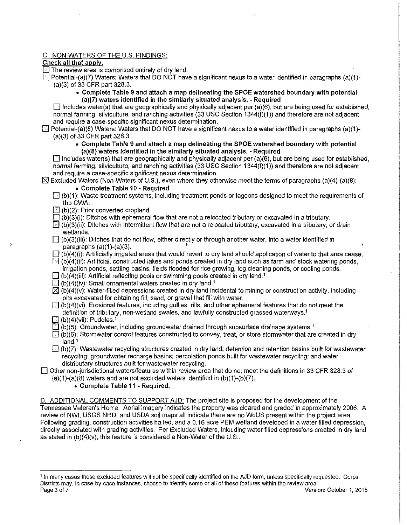#### C. NON-WATERS OF THE U.S. FINDINGS:

# **Check all that apply.**

 $\Box$  The review area is comprised entirely of dry land.

Potential-(a)(7) Waters: Waters that DO NOT have a significant nexus to a water identified in paragraphs (a)(1)-(a)(3) of 33 CFR part 328.3.

> • **Complete Table 9 and attach a map delineating the SPOE watershed boundary with potential**  (a)(?) **waters identified in the similarly situated analysis. - Required**

 $\Box$  Includes water(s) that are geographically and physically adjacent per (a)(6), but are being used for established, normal farming, silviculture, and ranching activities (33 USC Section 1344(f)(1)) and therefore are not adjacent and require a case-specific significant nexus determination.

 $\Box$  Potential-(a)(8) Waters: Waters that DO NOT have a significant nexus to a water identified in paragraphs (a)(1)-(a)(3) of 33 CFR part 328.3.

#### • **Complete Table 9 and attach a map delineating the SPOE watershed boundary with potential (a)(B) waters identified in the similarly situated analysis. - Required**

 $\Box$  Includes water(s) that are geographically and physically adjacent per (a)(6), but are being used for established, normal farming, silviculture, and ranching activities (33 USC Section 1344(f)(1)) and therefore are not adjacent and require a case-specific significant nexus determination.

~ Excluded Waters (Non-Waters of U.S.), *even* where they otherwise meet the terms of paragraphs (a)(4)-(a)(8):

#### • **Complete Table 10 - Required**

- $\Box$  (b)(1): Waste treatment systems, including treatment ponds or lagoons designed to meet the requirements of the CWA.
- $\Box$  (b)(2): Prior converted cropland.
- $\Box$  (b)(3)(i): Ditches with ephemeral flow that are not a relocated tributary or excavated in a tributary.
- $\Box$  (b)(3)(ii): Ditches with intermittent flow that are not a relocated tributary, excavated in a tributary, or drain wetlands.
- $\boxdot$  (b)(3)(iii): Ditches that do not flow, either directly or through another water, into a water identified in paragraphs  $(a)(1)-(a)(3)$ .
- **0** (b )(4)(i): Artificially irrigated areas that would revert to dry land should application of water to that area cease.
- $\Box$  (b)(4)(ii): Artificial, constructed lakes and ponds created in dry land such as farm and stock watering ponds, irrigation ponds, settling basins, fields flooded for rice growing, log cleaning ponds, or cooling ponds.
- **8** (b)(4)(iii): Artificial reflecting pools or swimming pools created in dry land.<sup>1</sup>
- $\Box$  (b)(4)(iv): Small ornamental waters created in dry land.<sup>1</sup>
- $\boxtimes$  (b)(4)(v): Water-filled depressions created in dry land incidental to mining or construction activity, including pits excavated for obtaining fill, sand, or gravel that fill with water.
- $\Box$  (b)(4)(vi): Erosional features, including gullies, rills, and other ephemeral features that do not meet the definition of tributary, non-wetland swales, and lawfully constructed grassed waterways.1
- $\Box$  (b)(4)(vii): Puddles.<sup>1</sup>
- $\Xi$  (b)(5): Groundwater, including groundwater drained through subsurface drainage systems.<sup>1</sup>
- $\Box$  (b)(6): Stormwater control features constructed to convey, treat, or store stormwater that are created in dry  $land<sup>1</sup>$
- $\Box$  (b)(7): Wastewater recycling structures created in dry land; detention and retention basins built for wastewater recycling; groundwater recharge basins; percolation ponds built for wastewater recycling; and water distributary structures built for wastewater recycling.

**0** Other non-jurisdictional waters/features within review area that do not meet the definitions in 33 CFR 328.3 of  $(a)(1)-(a)(8)$  waters and are not excluded waters identified in  $(b)(1)-(b)(7)$ .

• **Complete Table 11 - Required.** 

D. ADDITIONAL COMMENTS TO SUPPORT AJD: The project site is proposed for the development of the Tennessee Veteran's Home. Aerial imagery indicates the property was cleared and graded in approximately 2006. A review of NWI, USGS NHD, and USDA soil maps all indicate there are no WoUS present within the project area. Following grading, construction activities halted, and a 0.16 acre PEM wetland developed in a water filled depression, directly associated with grading activities. Per Excluded Waters, inlcuding water filled depressions created in dry land as stated in (b)(4)(v), this feature is considered a Non-Water of the U.S..

<sup>1</sup>In many cases these excluded features will not be specifically identified on the AJD form, unless specifically requested. Corps **Districts may, in case-by-case instances, choose to identify some or all of these features within the review area.**  Page 3 of 7 Version: October 1, 2015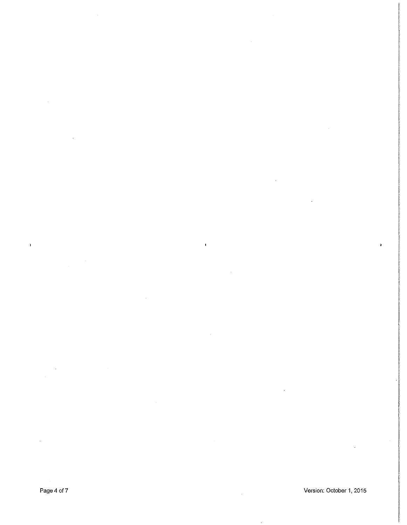$\bar{\phantom{a}}$ 

 $\mathbf{I}$ 

Page 4 of 7 Version: October 1, 2015

**I**<br>Internation I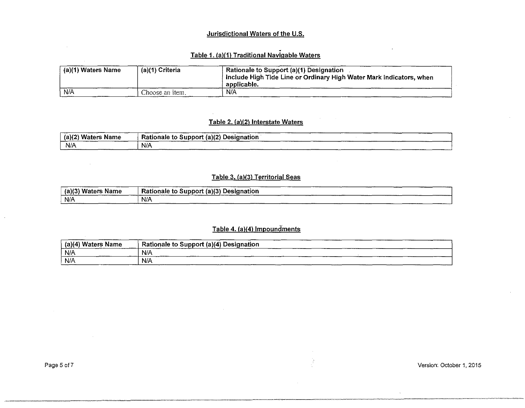#### Jurisdictional Waters of the U.S.

# Table 1. (a)(1) Traditional Navigable Waters

| (a)(1) Waters Name | (a)(1) Criteria | Rationale to Support (a)(1) Designation<br>Include High Tide Line or Ordinary High Water Mark indicators, when<br>applicable. |
|--------------------|-----------------|-------------------------------------------------------------------------------------------------------------------------------|
| N/A                | Choose an item. | N/A                                                                                                                           |

### Table 2. (a)(2) Interstate Waters

| (a)(2)<br>) Waters Name | $^{\prime}$ Rationale to Support (a)(2) Designation |
|-------------------------|-----------------------------------------------------|
| N/A                     | $N/\lambda$                                         |

#### Table 3. (a)(3) Territorial Seas

| ) Waters Name<br>ຸ (a)(3 <b>ິ</b> | <b>Rationale to Support (a)(3) Designation</b> |
|-----------------------------------|------------------------------------------------|
| N/4                               | N/A<br>                                        |

# Table 4. (a)(4) Impoundments

| (a)(4) Waters Name | Rationale to Support (a)(4) Designation |
|--------------------|-----------------------------------------|
| N/A                | N/A                                     |
| N/A                | N/A                                     |

··~-~-~----~~---------------·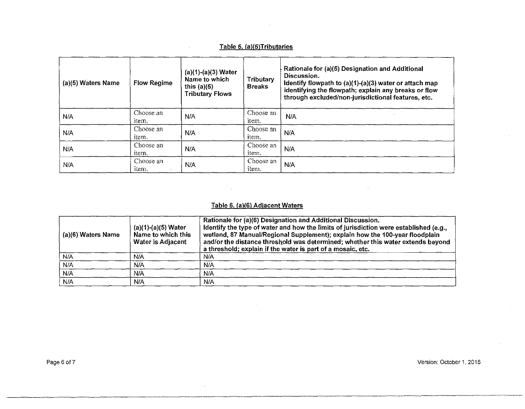# Table 5. (a)(S)Tributaries

| (a)(5) Waters Name | <b>Flow Regime</b> | $(a)(1)-(a)(3)$ Water<br>Name to which<br>this $(a)(5)$<br><b>Tributary Flows</b> | Tributary<br><b>Breaks</b> | Rationale for (a)(5) Designation and Additional<br>Discussion.<br>Identify flowpath to (a)(1)-(a)(3) water or attach map<br>identifying the flowpath; explain any breaks or flow<br>through excluded/non-jurisdictional features, etc. |
|--------------------|--------------------|-----------------------------------------------------------------------------------|----------------------------|----------------------------------------------------------------------------------------------------------------------------------------------------------------------------------------------------------------------------------------|
| N/A                | Choose an<br>item. | N/A                                                                               | Choose an<br>item.         | N/A                                                                                                                                                                                                                                    |
| N/A                | Choose an<br>item. | N/A                                                                               | Choose an<br>item.         | N/A                                                                                                                                                                                                                                    |
| N/A                | Choose an<br>item. | N/A                                                                               | Choose an<br>item.         | N/A                                                                                                                                                                                                                                    |
| N/A                | Choose an<br>item. | N/A                                                                               | Choose an<br>item.         | N/A                                                                                                                                                                                                                                    |

# Table 6. (a)(6) Adjacent Waters

| (a)(6) Waters Name | $(a)(1)-(a)(5)$ Water<br>Name to which this<br>Water is Adjacent | Rationale for (a)(6) Designation and Additional Discussion.<br>Identify the type of water and how the limits of jurisdiction were established (e.g.,<br>wetland, 87 Manual/Regional Supplement); explain how the 100-year floodplain<br>and/or the distance threshold was determined; whether this water extends beyond<br>a threshold; explain if the water is part of a mosaic, etc. |
|--------------------|------------------------------------------------------------------|----------------------------------------------------------------------------------------------------------------------------------------------------------------------------------------------------------------------------------------------------------------------------------------------------------------------------------------------------------------------------------------|
| N/A                | N/A                                                              | N/A                                                                                                                                                                                                                                                                                                                                                                                    |
| N/A                | N/A                                                              | N/A                                                                                                                                                                                                                                                                                                                                                                                    |
| N/A                | N/A                                                              | N/A                                                                                                                                                                                                                                                                                                                                                                                    |
| N/A                | N/A                                                              | N/A                                                                                                                                                                                                                                                                                                                                                                                    |

~··~~~~~~-· --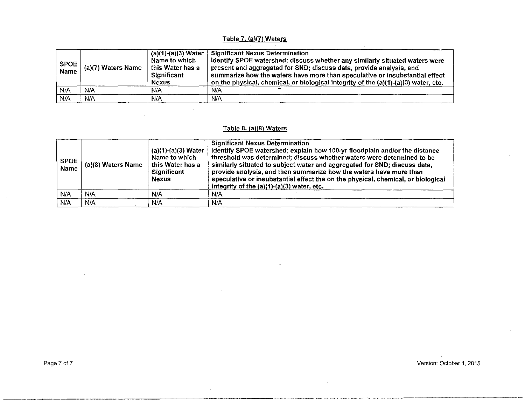# Table 7. (a)(7) Waters

| <b>SPOE</b><br>Name | ั (a)(7) Waters Name | (a)(1)-(a)(3) Water<br>Name to which<br>this Water has a<br>Significant<br>Nexus | <b>Significant Nexus Determination</b><br>Identify SPOE watershed; discuss whether any similarly situated waters were<br>present and aggregated for SND; discuss data, provide analysis, and<br>summarize how the waters have more than speculative or insubstantial effect<br>on the physical, chemical, or biological integrity of the (a)(1)-(a)(3) water, etc. |
|---------------------|----------------------|----------------------------------------------------------------------------------|--------------------------------------------------------------------------------------------------------------------------------------------------------------------------------------------------------------------------------------------------------------------------------------------------------------------------------------------------------------------|
| N/A                 | N/A                  | N/A                                                                              | N/A                                                                                                                                                                                                                                                                                                                                                                |
| N/A                 | N/A                  | N/A                                                                              | N/A                                                                                                                                                                                                                                                                                                                                                                |

#### Table 8. (a)(8) Waters

| <b>SPOE</b><br>Name | (a)(8) Waters Name | $(a)(1)-(a)(3)$ Water<br>Name to which<br>this Water has a<br>Significant<br><b>Nexus</b> | <b>Significant Nexus Determination</b><br>Identify SPOE watershed; explain how 100-yr floodplain and/or the distance<br>threshold was determined; discuss whether waters were determined to be<br>similarly situated to subject water and aggregated for SND; discuss data,<br>provide analysis, and then summarize how the waters have more than<br>speculative or insubstantial effect the on the physical, chemical, or biological<br>integrity of the $(a)(1)-(a)(3)$ water, etc. |
|---------------------|--------------------|-------------------------------------------------------------------------------------------|---------------------------------------------------------------------------------------------------------------------------------------------------------------------------------------------------------------------------------------------------------------------------------------------------------------------------------------------------------------------------------------------------------------------------------------------------------------------------------------|
| N/A                 | N/A                | N/A                                                                                       | N/A                                                                                                                                                                                                                                                                                                                                                                                                                                                                                   |
| N/A                 | N/A                | N/A                                                                                       | N/A                                                                                                                                                                                                                                                                                                                                                                                                                                                                                   |

 $\rightarrow$ 

 $\sim$